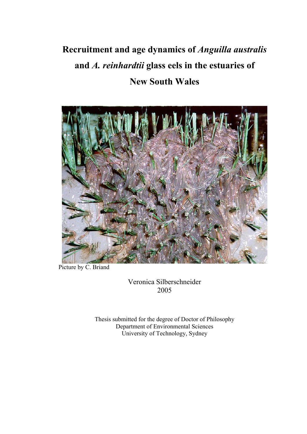# **Recruitment and age dynamics of** *Anguilla australis*  **and** *A. reinhardtii* **glass eels in the estuaries of New South Wales**



Picture by C. Briand

Veronica Silberschneider 2005

Thesis submitted for the degree of Doctor of Philosophy Department of Environmental Sciences University of Technology, Sydney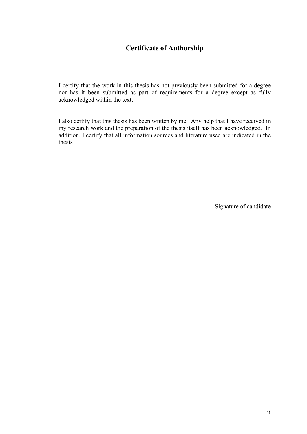### **Certificate of Authorship**

I certify that the work in this thesis has not previously been submitted for a degree nor has it been submitted as part of requirements for a degree except as fully acknowledged within the text.

I also certify that this thesis has been written by me. Any help that I have received in my research work and the preparation of the thesis itself has been acknowledged. In addition, I certify that all information sources and literature used are indicated in the thesis.

Signature of candidate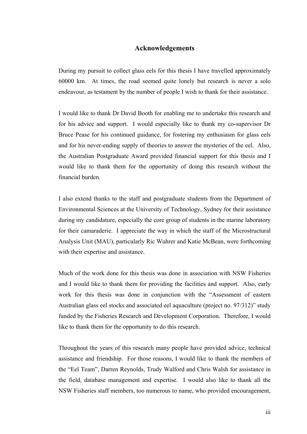#### **Acknowledgements**

During my pursuit to collect glass eels for this thesis I have travelled approximately 60000 km. At times, the road seemed quite lonely but research is never a solo endeavour, as testament by the number of people I wish to thank for their assistance.

I would like to thank Dr David Booth for enabling me to undertake this research and for his advice and support. I would especially like to thank my co-supervisor Dr Bruce Pease for his continued guidance, for fostering my enthusiasm for glass eels and for his never-ending supply of theories to answer the mysteries of the eel. Also, the Australian Postgraduate Award provided financial support for this thesis and I would like to thank them for the opportunity of doing this research without the financial burden.

I also extend thanks to the staff and postgraduate students from the Department of Environmental Sciences at the University of Technology, Sydney for their assistance during my candidature, especially the core group of students in the marine laboratory for their camaraderie. I appreciate the way in which the staff of the Microstructural Analysis Unit (MAU), particularly Ric Wuhrer and Katie McBean, were forthcoming with their expertise and assistance.

Much of the work done for this thesis was done in association with NSW Fisheries and I would like to thank them for providing the facilities and support. Also, early work for this thesis was done in conjunction with the "Assessment of eastern Australian glass eel stocks and associated eel aquaculture (project no. 97/312)" study funded by the Fisheries Research and Development Corporation. Therefore, I would like to thank them for the opportunity to do this research.

Throughout the years of this research many people have provided advice, technical assistance and friendship. For those reasons, I would like to thank the members of the "Eel Team", Darren Reynolds, Trudy Walford and Chris Walsh for assistance in the field, database management and expertise. I would also like to thank all the NSW Fisheries staff members, too numerous to name, who provided encouragement,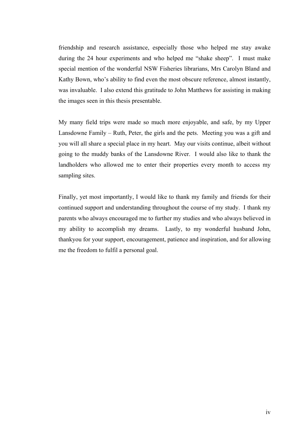friendship and research assistance, especially those who helped me stay awake during the 24 hour experiments and who helped me "shake sheep". I must make special mention of the wonderful NSW Fisheries librarians, Mrs Carolyn Bland and Kathy Bown, who's ability to find even the most obscure reference, almost instantly, was invaluable. I also extend this gratitude to John Matthews for assisting in making the images seen in this thesis presentable.

My many field trips were made so much more enjoyable, and safe, by my Upper Lansdowne Family – Ruth, Peter, the girls and the pets. Meeting you was a gift and you will all share a special place in my heart. May our visits continue, albeit without going to the muddy banks of the Lansdowne River. I would also like to thank the landholders who allowed me to enter their properties every month to access my sampling sites.

Finally, yet most importantly, I would like to thank my family and friends for their continued support and understanding throughout the course of my study. I thank my parents who always encouraged me to further my studies and who always believed in my ability to accomplish my dreams. Lastly, to my wonderful husband John, thankyou for your support, encouragement, patience and inspiration, and for allowing me the freedom to fulfil a personal goal.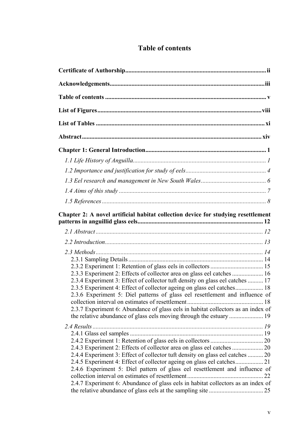## **Table of contents**

| Chapter 2: A novel artificial habitat collection device for studying resettlement                                                                                                                                                                                                                                                                                                                     |    |
|-------------------------------------------------------------------------------------------------------------------------------------------------------------------------------------------------------------------------------------------------------------------------------------------------------------------------------------------------------------------------------------------------------|----|
|                                                                                                                                                                                                                                                                                                                                                                                                       |    |
|                                                                                                                                                                                                                                                                                                                                                                                                       |    |
| 2.3.3 Experiment 2: Effects of collector area on glass eel catches  16<br>2.3.4 Experiment 3: Effect of collector tuft density on glass eel catches  17<br>2.3.5 Experiment 4: Effect of collector ageing on glass eel catches 18<br>2.3.6 Experiment 5: Diel patterns of glass eel resettlement and influence of<br>2.3.7 Experiment 6: Abundance of glass eels in habitat collectors as an index of |    |
| 2.4.4 Experiment 3: Effect of collector tuft density on glass eel catches  20<br>2.4.6 Experiment 5: Diel pattern of glass eel resettlement and influence of<br>2.4.7 Experiment 6: Abundance of glass eels in habitat collectors as an index of                                                                                                                                                      | 22 |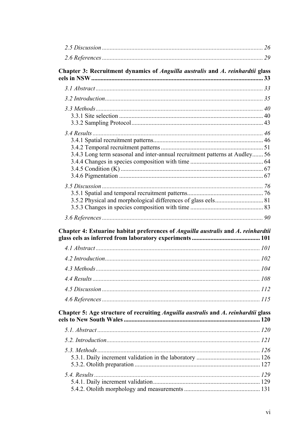| Chapter 3: Recruitment dynamics of Anguilla australis and A. reinhardtii glass     |  |
|------------------------------------------------------------------------------------|--|
|                                                                                    |  |
|                                                                                    |  |
|                                                                                    |  |
| 3.4.3 Long term seasonal and inter-annual recruitment patterns at Audley 56        |  |
|                                                                                    |  |
|                                                                                    |  |
| Chapter 4: Estuarine habitat preferences of Anguilla australis and A. reinhardtii  |  |
|                                                                                    |  |
|                                                                                    |  |
|                                                                                    |  |
|                                                                                    |  |
|                                                                                    |  |
|                                                                                    |  |
| Chapter 5: Age structure of recruiting Anguilla australis and A. reinhardtii glass |  |
|                                                                                    |  |
|                                                                                    |  |
|                                                                                    |  |
|                                                                                    |  |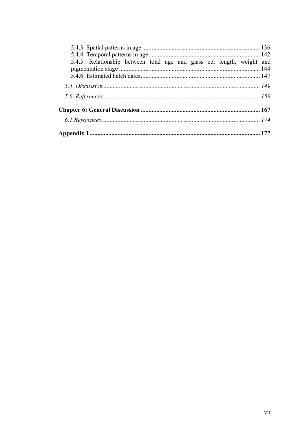| 5.4.5. Relationship between total age and glass eel length, weight and |  |
|------------------------------------------------------------------------|--|
|                                                                        |  |
|                                                                        |  |
|                                                                        |  |
|                                                                        |  |
|                                                                        |  |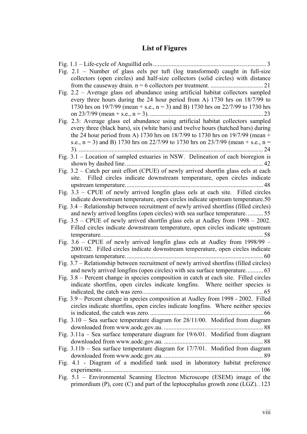# **List of Figures**

| Fig. 2.1 - Number of glass eels per tuft (log transformed) caught in full-size          |
|-----------------------------------------------------------------------------------------|
| collectors (open circles) and half-size collectors (solid circles) with distance        |
|                                                                                         |
| Fig. 2.2 – Average glass eel abundance using artificial habitat collectors sampled      |
| every three hours during the 24 hour period from A) 1730 hrs on 18/7/99 to              |
| 1730 hrs on 19/7/99 (mean + s.e., $n = 3$ ) and B) 1730 hrs on 22/7/99 to 1730 hrs      |
|                                                                                         |
| Fig. 2.3: Average glass eel abundance using artificial habitat collectors sampled       |
| every three (black bars), six (white bars) and twelve hours (hatched bars) during       |
| the 24 hour period from A) 1730 hrs on 18/7/99 to 1730 hrs on 19/7/99 (mean +           |
| s.e., $n = 3$ ) and B) 1730 hrs on 22/7/99 to 1730 hrs on 23/7/99 (mean + s.e., $n =$   |
|                                                                                         |
| Fig. 3.1 – Location of sampled estuaries in NSW. Delineation of each bioregion is       |
|                                                                                         |
| Fig. 3.2 - Catch per unit effort (CPUE) of newly arrived shortfin glass eels at each    |
|                                                                                         |
| site. Filled circles indicate downstream temperature, open circles indicate             |
|                                                                                         |
| Fig. 3.3 – CPUE of newly arrived longfin glass eels at each site. Filled circles        |
| indicate downstream temperature, open circles indicate upstream temperature.50          |
| Fig. 3.4 – Relationship between recruitment of newly arrived shortfins (filled circles) |
| and newly arrived longfins (open circles) with sea surface temperature55                |
| Fig. $3.5$ – CPUE of newly arrived shortfin glass eels at Audley from $1998 - 2002$ .   |
| Filled circles indicate downstream temperature, open circles indicate upstream          |
|                                                                                         |
| Fig. 3.6 – CPUE of newly arrived longfin glass eels at Audley from $1998/99$ –          |
| 2001/02. Filled circles indicate downstream temperature, open circles indicate          |
|                                                                                         |
| Fig. 3.7 – Relationship between recruitment of newly arrived shortfins (filled circles) |
| and newly arrived longfins (open circles) with sea surface temperature 63               |
| Fig. 3.8 – Percent change in species composition in catch at each site. Filled circles  |
| indicate shortfins, open circles indicate longfins. Where neither species is            |
|                                                                                         |
| Fig. 3.9 – Percent change in species composition at Audley from 1998 - 2002. Filled     |
| circles indicate shortfins, open circles indicate longfins. Where neither species       |
|                                                                                         |
| Fig. 3.10 - Sea surface temperature diagram for 28/11/00. Modified from diagram         |
|                                                                                         |
| Fig. 3.11a - Sea surface temperature diagram for 19/6/01. Modified from diagram         |
|                                                                                         |
| Fig. $3.11b$ – Sea surface temperature diagram for $17/7/01$ . Modified from diagram    |
|                                                                                         |
| Fig. 4.1 - Diagram of a modified tank used in laboratory habitat preference             |
|                                                                                         |
| Fig. 5.1 - Environmental Scanning Electron Microscope (ESEM) image of the               |
| primordium (P), core $(C)$ and part of the leptocephalus growth zone $(LGZ)$ . 123      |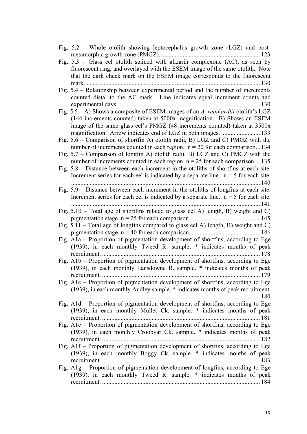| Fig. $5.2$ – Whole otolith showing leptocephalus growth zone (LGZ) and post-            |
|-----------------------------------------------------------------------------------------|
|                                                                                         |
| Fig. $5.3$ – Glass eel otolith stained with alizarin complexone (AC), as seen by        |
| fluorescent ring, and overlayed with the ESEM image of the same otolith. Note           |
| that the dark check mark on the ESEM image corresponds to the fluorescent               |
| .130<br>$mark.$                                                                         |
| Fig. 5.4 – Relationship between experimental period and the number of increments        |
| counted distal to the AC mark. Line indicates equal increment counts and                |
|                                                                                         |
| Fig. $5.5 - A$ ) Shows a composite of ESEM images of an A. reinhardtii otolith's LGZ    |
|                                                                                         |
| (144 increments counted) taken at 5000x magnification. B) Shows an ESEM                 |
| image of the same glass eel's PMGZ (48 increments counted) taken at 3500x               |
|                                                                                         |
| Fig. $5.6$ – Comparison of shortfin A) otolith radii, B) LGZ and C) PMGZ with the       |
| number of increments counted in each region. $n = 20$ for each comparison. 134          |
| Fig. $5.7$ – Comparison of longfin A) otolith radii, B) LGZ and C) PMGZ with the        |
| number of increments counted in each region. $n = 25$ for each comparison.  135         |
| Fig. $5.8$ – Distance between each increment in the otoliths of shortfins at each site. |
| Increment series for each eel is indicated by a separate line. $n = 5$ for each site.   |
|                                                                                         |
| Fig. $5.9$ – Distance between each increment in the otoliths of longfins at each site.  |
| Increment series for each eel is indicated by a separate line. $n = 5$ for each site.   |
|                                                                                         |
| Fig. $5.10$ – Total age of shortfins related to glass eel A) length, B) weight and C)   |
|                                                                                         |
| Fig. $5.11$ – Total age of longfins compared to glass eel A) length, B) weight and C)   |
|                                                                                         |
| Fig. A1a – Proportion of pigmentation development of shortfins, according to Ege        |
| (1939), in each monthly Tweed R. sample, * indicates months of peak                     |
|                                                                                         |
|                                                                                         |
| Fig. A1b – Proportion of pigmentation development of shortfins, according to Ege        |
| (1939), in each monthly Lansdowne R. sample. * indicates months of peak                 |
| recruitment<br>179                                                                      |
| Fig. A1c – Proportion of pigmentation development of shortfins, according to Ege        |
| (1939), in each monthly Audley sample. * indicates months of peak recruitment.          |
| 180                                                                                     |
| Fig. A1d - Proportion of pigmentation development of shortfins, according to Ege        |
| (1939), in each monthly Mullet Ck. sample. * indicates months of peak                   |
|                                                                                         |
| Fig. A1e – Proportion of pigmentation development of shortfins, according to Ege        |
| (1939), in each monthly Croobyar Ck. sample. * indicates months of peak                 |
|                                                                                         |
| Fig. A1f – Proportion of pigmentation development of shortfins, according to Ege        |
| (1939), in each monthly Boggy Ck. sample. * indicates months of peak                    |
|                                                                                         |
| Fig. $A1g$ – Proportion of pigmentation development of longfins, according to Ege       |
| (1939), in each monthly Tweed R. sample. * indicates months of peak                     |
|                                                                                         |
|                                                                                         |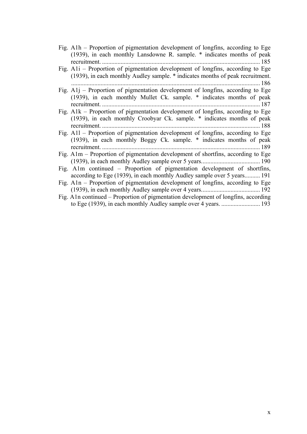Fig. A1h – Proportion of pigmentation development of longfins, according to Ege (1939), in each monthly Lansdowne R. sample. \* indicates months of peak recruitment. ...................................................................................................... 185

Fig. A1i – Proportion of pigmentation development of longfins, according to Ege (1939), in each monthly Audley sample. \* indicates months of peak recruitment. .......................................................................................................................... 186

Fig. A1j – Proportion of pigmentation development of longfins, according to Ege (1939), in each monthly Mullet Ck. sample. \* indicates months of peak recruitment. ...................................................................................................... 187

- Fig. A1k Proportion of pigmentation development of longfins, according to Ege (1939), in each monthly Croobyar Ck. sample. \* indicates months of peak recruitment. ...................................................................................................... 188
- Fig. A1l Proportion of pigmentation development of longfins, according to Ege (1939), in each monthly Boggy Ck. sample. \* indicates months of peak recruitment. ...................................................................................................... 189

Fig. A1m – Proportion of pigmentation development of shortfins, according to Ege (1939), in each monthly Audley sample over 5 years...................................... 190

- Fig. A1m continued Proportion of pigmentation development of shortfins, according to Ege (1939), in each monthly Audley sample over 5 years.......... 191
- Fig. A1n Proportion of pigmentation development of longfins, according to Ege (1939), in each monthly Audley sample over 4 years...................................... 192
- Fig. A1n continued Proportion of pigmentation development of longfins, according to Ege (1939), in each monthly Audley sample over 4 years. ......................... 193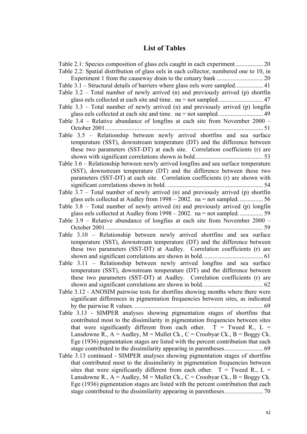## **List of Tables**

| Table 2.2: Spatial distribution of glass eels in each collector, numbered one to 10, in |
|-----------------------------------------------------------------------------------------|
|                                                                                         |
|                                                                                         |
| Table $3.2$ – Total number of newly arrived (n) and previously arrived (p) shortfin     |
|                                                                                         |
| Table $3.3$ – Total number of newly arrived (n) and previously arrived (p) longfin      |
|                                                                                         |
| Table 3.4 – Relative abundance of longfins at each site from November 2000 –            |
|                                                                                         |
| Table 3.5 - Relationship between newly arrived shortfins and sea surface                |
| temperature (SST), downstream temperature (DT) and the difference between               |
| these two parameters (SST-DT) at each site. Correlation coefficients (r) are            |
|                                                                                         |
| Table 3.6 – Relationship between newly arrived longfins and sea surface temperature     |
| (SST), downstream temperature (DT) and the difference between these two                 |
| parameters (SST-DT) at each site. Correlation coefficients (r) are shown with           |
|                                                                                         |
| Table $3.7$ – Total number of newly arrived (n) and previously arrived (p) shortfin     |
|                                                                                         |
| Table $3.8$ – Total number of newly arrived (n) and previously arrived (p) longfin      |
|                                                                                         |
| Table 3.9 - Relative abundance of longfins at each site from November 2000 -            |
|                                                                                         |
| Table 3.10 – Relationship between newly arrived shortfins and sea surface               |
| temperature (SST), downstream temperature (DT) and the difference between               |
| these two parameters (SST-DT) at Audley. Correlation coefficients (r) are               |
|                                                                                         |
| Table 3.11 – Relationship between newly arrived longfins and sea surface                |
| temperature (SST), downstream temperature (DT) and the difference between               |
| these two parameters (SST-DT) at Audley. Correlation coefficients (r) are               |
|                                                                                         |
| Table 3.12 - ANOSIM pairwise tests for shortfins showing months where there were        |
| significant differences in pigmentation frequencies between sites, as indicated         |
| 69                                                                                      |
| Table 3.13 - SIMPER analyses showing pigmentation stages of shortfins that              |
| contributed most to the dissimilarity in pigmentation frequencies between sites         |
| that were significantly different from each other. $T = Tweed R$ , $L =$                |
| Lansdowne R., $A =$ Audley, $M =$ Mullet Ck., $C =$ Croobyar Ck., $B =$ Boggy Ck.       |
|                                                                                         |
| Ege (1936) pigmentation stages are listed with the percent contribution that each       |
|                                                                                         |
| Table 3.13 continued - SIMPER analyses showing pigmentation stages of shortfins         |
| that contributed most to the dissimilarity in pigmentation frequencies between          |
| sites that were significantly different from each other. $T = Tweed R$ , $L =$          |
| Lansdowne R., $A =$ Audley, $M =$ Mullet Ck., $C =$ Croobyar Ck., $B =$ Boggy Ck.       |
| Ege (1936) pigmentation stages are listed with the percent contribution that each       |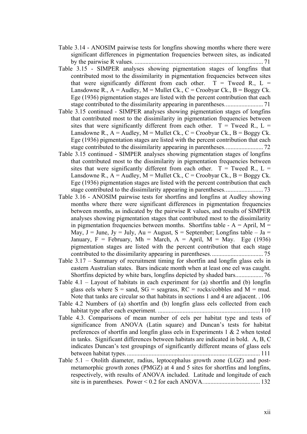- Table 3.14 ANOSIM pairwise tests for longfins showing months where there were significant differences in pigmentation frequencies between sites, as indicated by the pairwise R values. ................................................................................... 71
- Table 3.15 SIMPER analyses showing pigmentation stages of longfins that contributed most to the dissimilarity in pigmentation frequencies between sites that were significantly different from each other.  $T = T$  weed R., L = Lansdowne R.,  $A =$  Audley,  $M =$  Mullet Ck.,  $C =$  Croobyar Ck.,  $B =$  Boggy Ck. Ege (1936) pigmentation stages are listed with the percent contribution that each stage contributed to the dissimilarity appearing in parentheses......................... 71
- Table 3.15 continued SIMPER analyses showing pigmentation stages of longfins that contributed most to the dissimilarity in pigmentation frequencies between sites that were significantly different from each other.  $T =$ Tweed R., L = Lansdowne R.,  $A =$  Audley,  $M =$  Mullet Ck.,  $C =$  Croobyar Ck.,  $B =$  Boggy Ck. Ege (1936) pigmentation stages are listed with the percent contribution that each stage contributed to the dissimilarity appearing in parentheses......................... 72
- Table 3.15 continued SIMPER analyses showing pigmentation stages of longfins that contributed most to the dissimilarity in pigmentation frequencies between sites that were significantly different from each other.  $T = T$  weed R., L = Lansdowne R.,  $A =$  Audley,  $M =$  Mullet Ck.,  $C =$  Croobyar Ck.,  $B =$  Boggy Ck. Ege (1936) pigmentation stages are listed with the percent contribution that each stage contributed to the dissimilarity appearing in parentheses......................... 73
- Table 3.16 ANOSIM pairwise tests for shortfins and longfins at Audley showing months where there were significant differences in pigmentation frequencies between months, as indicated by the pairwise R values, and results of SIMPER analyses showing pigmentation stages that contributed most to the dissimilarity in pigmentation frequencies between months. Shortfins table -  $A =$  April,  $M =$ May,  $J = June$ ,  $Jy = July$ ,  $Au = August$ ,  $S = September$ ; Longfins table – Ja = January, F = February, Mh = March, A = April, M = May. Ege (1936) pigmentation stages are listed with the percent contribution that each stage contributed to the dissimilarity appearing in parentheses.................................. 75
- Table 3.17 Summary of recruitment timing for shortfin and longfin glass eels in eastern Australian states. Bars indicate month when at least one eel was caught. Shortfins depicted by white bars, longfins depicted by shaded bars.................. 76
- Table  $4.1 -$  Layout of habitats in each experiment for (a) shortfin and (b) longfin glass eels where  $S =$  sand,  $SG =$  seagrass,  $RC =$  rocks/cobbles and  $M =$  mud. Note that tanks are circular so that habitats in sections 1 and 4 are adjacent. . 106
- Table 4.2 Numbers of (a) shortfin and (b) longfin glass eels collected from each habitat type after each experiment. .................................................................. 110
- Table 4.3. Comparisons of mean number of eels per habitat type and tests of significance from ANOVA (Latin square) and Duncan's tests for habitat preferences of shortfin and longfin glass eels in Experiments 1 & 2 when tested in tanks. Significant differences between habitats are indicated in bold. A, B, C indicates Duncan's test groupings of significantly different means of glass eels between habitat types. ...................................................................................... 111
- Table 5.1 Otolith diameter, radius, leptocephalus growth zone (LGZ) and postmetamorphic growth zones (PMGZ) at 4 and 5 sites for shortfins and longfins, respectively, with results of ANOVA included. Latitude and longitude of each site is in parentheses. Power < 0.2 for each ANOVA..................................... 132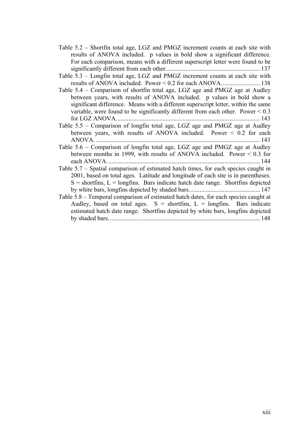- Table 5.2 Shortfin total age, LGZ and PMGZ increment counts at each site with results of ANOVA included. p values in bold show a significant difference. For each comparison, means with a different superscript letter were found to be significantly different from each other............................................................. 137
- Table 5.3 Longfin total age, LGZ and PMGZ increment counts at each site with results of ANOVA included. Power < 0.2 for each ANOVA......................... 138
- Table 5.4 Comparison of shortfin total age, LGZ age and PMGZ age at Audley between years, with results of ANOVA included. p values in bold show a significant difference. Means with a different superscript letter, within the same variable, were found to be significantly different from each other. Power < 0.3 for LGZ ANOVA............................................................................................. 143
- Table 5.5 Comparison of longfin total age, LGZ age and PMGZ age at Audley between years, with results of ANOVA included. Power < 0.2 for each ANOVA. .......................................................................................................... 143
- Table 5.6 Comparison of longfin total age, LGZ age and PMGZ age at Audley between months in 1999, with results of ANOVA included. Power < 0.3 for each ANOVA................................................................................................... 144
- Table 5.7 Spatial comparison of estimated hatch times, for each species caught in 2001, based on total ages. Latitude and longitude of each site is in parentheses.  $S =$  shortfins,  $L =$  longfins. Bars indicate hatch date range. Shortfins depicted by white bars, longfins depicted by shaded bars.............................................. 147
- Table 5.8 Temporal comparison of estimated hatch dates, for each species caught at Audley, based on total ages.  $S =$  shortfins,  $L =$  longfins. Bars indicate estimated hatch date range. Shortfins depicted by white bars, longfins depicted by shaded bars.................................................................................................. 148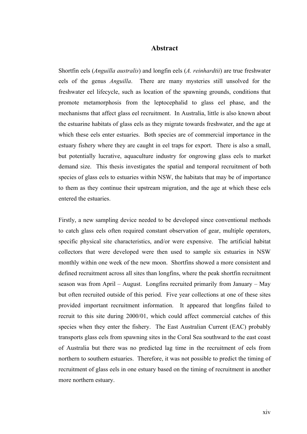#### **Abstract**

Shortfin eels (*Anguilla australis*) and longfin eels (*A. reinhardtii*) are true freshwater eels of the genus *Anguilla*. There are many mysteries still unsolved for the freshwater eel lifecycle, such as location of the spawning grounds, conditions that promote metamorphosis from the leptocephalid to glass eel phase, and the mechanisms that affect glass eel recruitment. In Australia, little is also known about the estuarine habitats of glass eels as they migrate towards freshwater, and the age at which these eels enter estuaries. Both species are of commercial importance in the estuary fishery where they are caught in eel traps for export. There is also a small, but potentially lucrative, aquaculture industry for ongrowing glass eels to market demand size. This thesis investigates the spatial and temporal recruitment of both species of glass eels to estuaries within NSW, the habitats that may be of importance to them as they continue their upstream migration, and the age at which these eels entered the estuaries.

Firstly, a new sampling device needed to be developed since conventional methods to catch glass eels often required constant observation of gear, multiple operators, specific physical site characteristics, and/or were expensive. The artificial habitat collectors that were developed were then used to sample six estuaries in NSW monthly within one week of the new moon. Shortfins showed a more consistent and defined recruitment across all sites than longfins, where the peak shortfin recruitment season was from April – August. Longfins recruited primarily from January – May but often recruited outside of this period. Five year collections at one of these sites provided important recruitment information. It appeared that longfins failed to recruit to this site during 2000/01, which could affect commercial catches of this species when they enter the fishery. The East Australian Current (EAC) probably transports glass eels from spawning sites in the Coral Sea southward to the east coast of Australia but there was no predicted lag time in the recruitment of eels from northern to southern estuaries. Therefore, it was not possible to predict the timing of recruitment of glass eels in one estuary based on the timing of recruitment in another more northern estuary.